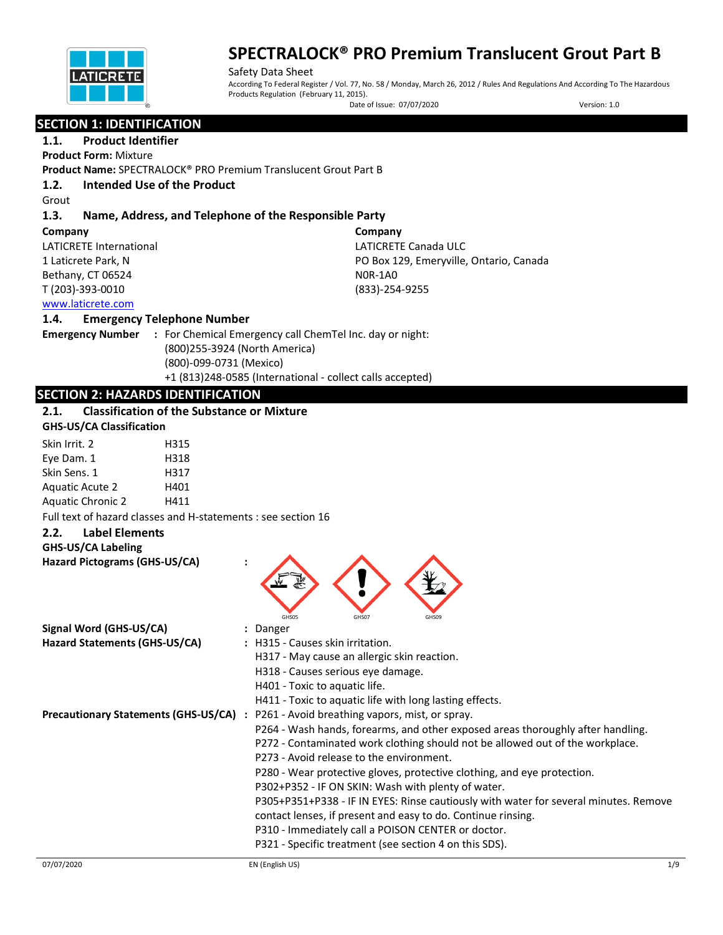

Safety Data Sheet According To Federal Register / Vol. 77, No. 58 / Monday, March 26, 2012 / Rules And Regulations And According To The Hazardous Products Regulation (February 11, 2015).

Date of Issue: 07/07/2020 Version: 1.0

# **SECTION 1: IDENTIFICATION**

#### **1.1. Product Identifier Product Form:** Mixture

**Product Name:** SPECTRALOCK® PRO Premium Translucent Grout Part B

# **1.2. Intended Use of the Product**

Grout

# **1.3. Name, Address, and Telephone of the Responsible Party**

**Company** 

LATICRETE International 1 Laticrete Park, N Bethany, CT 06524 T (203)-393-0010

**Company** LATICRETE Canada ULC PO Box 129, Emeryville, Ontario, Canada N0R-1A0 (833)-254-9255

# [www.laticrete.com](http://www.laticrete.com/)

## **1.4. Emergency Telephone Number**

**Emergency Number :** For Chemical Emergency call ChemTel Inc. day or night: (800)255-3924 (North America) (800)-099-0731 (Mexico) +1 (813)248-0585 (International - collect calls accepted)

# **SECTION 2: HAZARDS IDENTIFICATION**

# **2.1. Classification of the Substance or Mixture**

| <b>GHS-US/CA Classification</b> |      |  |
|---------------------------------|------|--|
| Skin Irrit. 2                   | H315 |  |
| Eye Dam. 1                      | H318 |  |
| Skin Sens. 1                    | H317 |  |
| <b>Aguatic Acute 2</b>          | H401 |  |
| <b>Aquatic Chronic 2</b>        | H411 |  |

Full text of hazard classes and H-statements : see section 16

## **2.2. Label Elements**

# **GHS-US/CA Labeling**

| ONS-OS/CA LADEIIIK<br>Hazard Pictograms (GHS-US/CA) |                                                                                       |     |
|-----------------------------------------------------|---------------------------------------------------------------------------------------|-----|
|                                                     | GHS05<br>GHS07<br>GHS09                                                               |     |
| Signal Word (GHS-US/CA)                             | : Danger                                                                              |     |
| Hazard Statements (GHS-US/CA)                       | : H315 - Causes skin irritation.                                                      |     |
|                                                     | H317 - May cause an allergic skin reaction.                                           |     |
|                                                     | H318 - Causes serious eye damage.                                                     |     |
|                                                     | H401 - Toxic to aquatic life.                                                         |     |
|                                                     | H411 - Toxic to aquatic life with long lasting effects.                               |     |
|                                                     | Precautionary Statements (GHS-US/CA) : P261 - Avoid breathing vapors, mist, or spray. |     |
|                                                     | P264 - Wash hands, forearms, and other exposed areas thoroughly after handling.       |     |
|                                                     | P272 - Contaminated work clothing should not be allowed out of the workplace.         |     |
|                                                     | P273 - Avoid release to the environment.                                              |     |
|                                                     | P280 - Wear protective gloves, protective clothing, and eye protection.               |     |
|                                                     | P302+P352 - IF ON SKIN: Wash with plenty of water.                                    |     |
|                                                     | P305+P351+P338 - IF IN EYES: Rinse cautiously with water for several minutes. Remove  |     |
|                                                     | contact lenses, if present and easy to do. Continue rinsing.                          |     |
|                                                     | P310 - Immediately call a POISON CENTER or doctor.                                    |     |
|                                                     | P321 - Specific treatment (see section 4 on this SDS).                                |     |
| 07/07/2020                                          | EN (English US)                                                                       | 1/9 |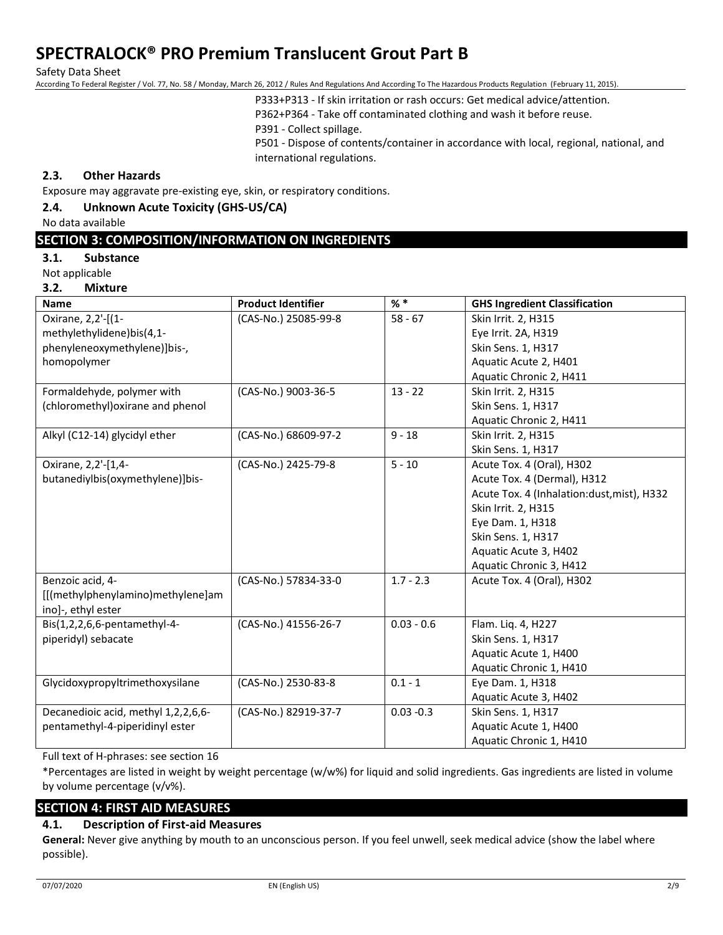Safety Data Sheet

According To Federal Register / Vol. 77, No. 58 / Monday, March 26, 2012 / Rules And Regulations And According To The Hazardous Products Regulation (February 11, 2015).

P333+P313 - If skin irritation or rash occurs: Get medical advice/attention.

P362+P364 - Take off contaminated clothing and wash it before reuse.

P391 - Collect spillage.

P501 - Dispose of contents/container in accordance with local, regional, national, and international regulations.

## **2.3. Other Hazards**

Exposure may aggravate pre-existing eye, skin, or respiratory conditions.

# **2.4. Unknown Acute Toxicity (GHS-US/CA)**

No data available

# **SECTION 3: COMPOSITION/INFORMATION ON INGREDIENTS**

#### **3.1. Substance**

Not applicable

**3.2. Mixture**

|                                     |                           | $%$ $*$      |                                            |
|-------------------------------------|---------------------------|--------------|--------------------------------------------|
| Name                                | <b>Product Identifier</b> |              | <b>GHS Ingredient Classification</b>       |
| Oxirane, 2,2'-[(1-                  | (CAS-No.) 25085-99-8      | $58 - 67$    | Skin Irrit. 2, H315                        |
| methylethylidene)bis(4,1-           |                           |              | Eye Irrit. 2A, H319                        |
| phenyleneoxymethylene)]bis-,        |                           |              | Skin Sens. 1, H317                         |
| homopolymer                         |                           |              | Aquatic Acute 2, H401                      |
|                                     |                           |              | Aquatic Chronic 2, H411                    |
| Formaldehyde, polymer with          | (CAS-No.) 9003-36-5       | $13 - 22$    | Skin Irrit. 2, H315                        |
| (chloromethyl) oxirane and phenol   |                           |              | Skin Sens. 1, H317                         |
|                                     |                           |              | Aquatic Chronic 2, H411                    |
| Alkyl (C12-14) glycidyl ether       | (CAS-No.) 68609-97-2      | $9 - 18$     | Skin Irrit. 2, H315                        |
|                                     |                           |              | Skin Sens. 1, H317                         |
| Oxirane, 2,2'-[1,4-                 | (CAS-No.) 2425-79-8       | $5 - 10$     | Acute Tox. 4 (Oral), H302                  |
| butanediylbis(oxymethylene)]bis-    |                           |              | Acute Tox. 4 (Dermal), H312                |
|                                     |                           |              | Acute Tox. 4 (Inhalation:dust, mist), H332 |
|                                     |                           |              | Skin Irrit. 2, H315                        |
|                                     |                           |              | Eye Dam. 1, H318                           |
|                                     |                           |              | Skin Sens. 1, H317                         |
|                                     |                           |              | Aquatic Acute 3, H402                      |
|                                     |                           |              | Aquatic Chronic 3, H412                    |
| Benzoic acid, 4-                    | (CAS-No.) 57834-33-0      | $1.7 - 2.3$  | Acute Tox. 4 (Oral), H302                  |
| [[(methylphenylamino)methylene]am   |                           |              |                                            |
| ino]-, ethyl ester                  |                           |              |                                            |
| Bis(1,2,2,6,6-pentamethyl-4-        | (CAS-No.) 41556-26-7      | $0.03 - 0.6$ | Flam. Liq. 4, H227                         |
| piperidyl) sebacate                 |                           |              | Skin Sens. 1, H317                         |
|                                     |                           |              | Aquatic Acute 1, H400                      |
|                                     |                           |              | Aquatic Chronic 1, H410                    |
| Glycidoxypropyltrimethoxysilane     | (CAS-No.) 2530-83-8       | $0.1 - 1$    | Eye Dam. 1, H318                           |
|                                     |                           |              | Aquatic Acute 3, H402                      |
| Decanedioic acid, methyl 1,2,2,6,6- | (CAS-No.) 82919-37-7      | $0.03 - 0.3$ | Skin Sens. 1, H317                         |
| pentamethyl-4-piperidinyl ester     |                           |              | Aquatic Acute 1, H400                      |
|                                     |                           |              | Aquatic Chronic 1, H410                    |

Full text of H-phrases: see section 16

\*Percentages are listed in weight by weight percentage (w/w%) for liquid and solid ingredients. Gas ingredients are listed in volume by volume percentage (v/v%).

## **SECTION 4: FIRST AID MEASURES**

## **4.1. Description of First-aid Measures**

**General:** Never give anything by mouth to an unconscious person. If you feel unwell, seek medical advice (show the label where possible).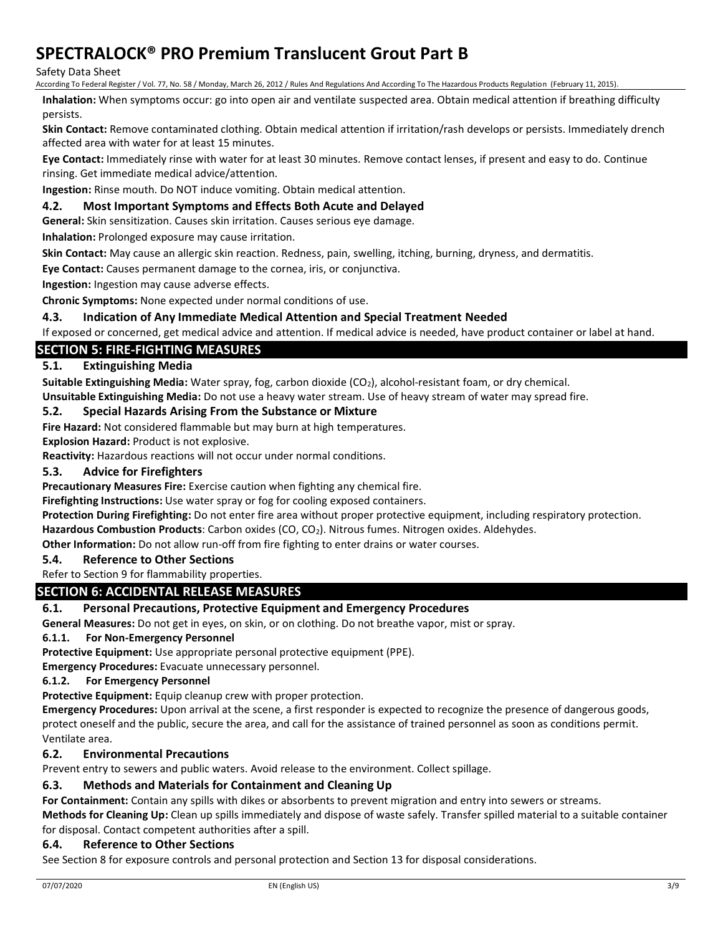Safety Data Sheet

According To Federal Register / Vol. 77, No. 58 / Monday, March 26, 2012 / Rules And Regulations And According To The Hazardous Products Regulation (February 11, 2015).

**Inhalation:** When symptoms occur: go into open air and ventilate suspected area. Obtain medical attention if breathing difficulty persists.

**Skin Contact:** Remove contaminated clothing. Obtain medical attention if irritation/rash develops or persists. Immediately drench affected area with water for at least 15 minutes.

**Eye Contact:** Immediately rinse with water for at least 30 minutes. Remove contact lenses, if present and easy to do. Continue rinsing. Get immediate medical advice/attention.

**Ingestion:** Rinse mouth. Do NOT induce vomiting. Obtain medical attention.

## **4.2. Most Important Symptoms and Effects Both Acute and Delayed**

**General:** Skin sensitization. Causes skin irritation. Causes serious eye damage.

**Inhalation:** Prolonged exposure may cause irritation.

**Skin Contact:** May cause an allergic skin reaction. Redness, pain, swelling, itching, burning, dryness, and dermatitis.

**Eye Contact:** Causes permanent damage to the cornea, iris, or conjunctiva.

**Ingestion:** Ingestion may cause adverse effects.

**Chronic Symptoms:** None expected under normal conditions of use.

## **4.3. Indication of Any Immediate Medical Attention and Special Treatment Needed**

If exposed or concerned, get medical advice and attention. If medical advice is needed, have product container or label at hand.

# **SECTION 5: FIRE-FIGHTING MEASURES**

## **5.1. Extinguishing Media**

Suitable Extinguishing Media: Water spray, fog, carbon dioxide (CO<sub>2</sub>), alcohol-resistant foam, or dry chemical.

**Unsuitable Extinguishing Media:** Do not use a heavy water stream. Use of heavy stream of water may spread fire.

## **5.2. Special Hazards Arising From the Substance or Mixture**

**Fire Hazard:** Not considered flammable but may burn at high temperatures.

**Explosion Hazard:** Product is not explosive.

**Reactivity:** Hazardous reactions will not occur under normal conditions.

## **5.3. Advice for Firefighters**

**Precautionary Measures Fire:** Exercise caution when fighting any chemical fire.

**Firefighting Instructions:** Use water spray or fog for cooling exposed containers.

**Protection During Firefighting:** Do not enter fire area without proper protective equipment, including respiratory protection.

**Hazardous Combustion Products**: Carbon oxides (CO, CO2). Nitrous fumes. Nitrogen oxides. Aldehydes.

**Other Information:** Do not allow run-off from fire fighting to enter drains or water courses.

## **5.4. Reference to Other Sections**

Refer to Section 9 for flammability properties.

# **SECTION 6: ACCIDENTAL RELEASE MEASURES**

# **6.1. Personal Precautions, Protective Equipment and Emergency Procedures**

**General Measures:** Do not get in eyes, on skin, or on clothing. Do not breathe vapor, mist or spray.

#### **6.1.1. For Non-Emergency Personnel**

**Protective Equipment:** Use appropriate personal protective equipment (PPE).

**Emergency Procedures:** Evacuate unnecessary personnel.

#### **6.1.2. For Emergency Personnel**

**Protective Equipment:** Equip cleanup crew with proper protection.

**Emergency Procedures:** Upon arrival at the scene, a first responder is expected to recognize the presence of dangerous goods, protect oneself and the public, secure the area, and call for the assistance of trained personnel as soon as conditions permit. Ventilate area.

## **6.2. Environmental Precautions**

Prevent entry to sewers and public waters. Avoid release to the environment. Collect spillage.

## **6.3. Methods and Materials for Containment and Cleaning Up**

**For Containment:** Contain any spills with dikes or absorbents to prevent migration and entry into sewers or streams. **Methods for Cleaning Up:** Clean up spills immediately and dispose of waste safely. Transfer spilled material to a suitable container for disposal. Contact competent authorities after a spill.

## **6.4. Reference to Other Sections**

See Section 8 for exposure controls and personal protection and Section 13 for disposal considerations.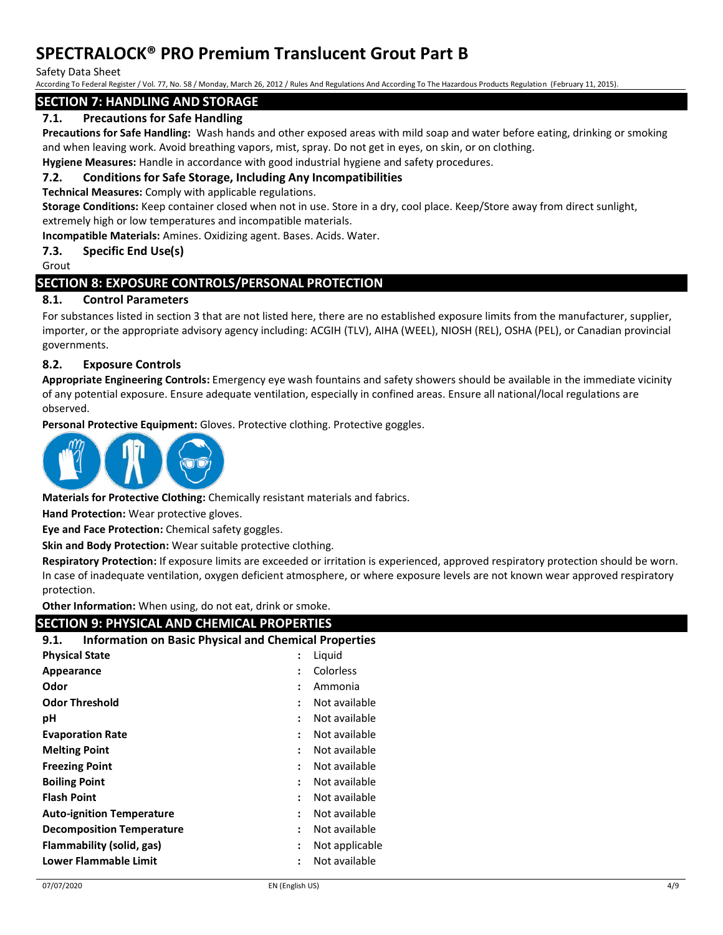Safety Data Sheet

According To Federal Register / Vol. 77, No. 58 / Monday, March 26, 2012 / Rules And Regulations And According To The Hazardous Products Regulation (February 11, 2015).

## **SECTION 7: HANDLING AND STORAGE**

# **7.1. Precautions for Safe Handling**

**Precautions for Safe Handling:** Wash hands and other exposed areas with mild soap and water before eating, drinking or smoking and when leaving work. Avoid breathing vapors, mist, spray. Do not get in eyes, on skin, or on clothing.

**Hygiene Measures:** Handle in accordance with good industrial hygiene and safety procedures.

## **7.2. Conditions for Safe Storage, Including Any Incompatibilities**

**Technical Measures:** Comply with applicable regulations.

**Storage Conditions:** Keep container closed when not in use. Store in a dry, cool place. Keep/Store away from direct sunlight, extremely high or low temperatures and incompatible materials.

**Incompatible Materials:** Amines. Oxidizing agent. Bases. Acids. Water.

**7.3. Specific End Use(s)**

Grout

# **SECTION 8: EXPOSURE CONTROLS/PERSONAL PROTECTION**

## **8.1. Control Parameters**

For substances listed in section 3 that are not listed here, there are no established exposure limits from the manufacturer, supplier, importer, or the appropriate advisory agency including: ACGIH (TLV), AIHA (WEEL), NIOSH (REL), OSHA (PEL), or Canadian provincial governments.

## **8.2. Exposure Controls**

**Appropriate Engineering Controls:** Emergency eye wash fountains and safety showers should be available in the immediate vicinity of any potential exposure. Ensure adequate ventilation, especially in confined areas. Ensure all national/local regulations are observed.

**Personal Protective Equipment:** Gloves. Protective clothing. Protective goggles.



**Materials for Protective Clothing:** Chemically resistant materials and fabrics.

**Hand Protection:** Wear protective gloves.

**Eye and Face Protection:** Chemical safety goggles.

**Skin and Body Protection:** Wear suitable protective clothing.

**Respiratory Protection:** If exposure limits are exceeded or irritation is experienced, approved respiratory protection should be worn. In case of inadequate ventilation, oxygen deficient atmosphere, or where exposure levels are not known wear approved respiratory protection.

**Other Information:** When using, do not eat, drink or smoke.

# **SECTION 9: PHYSICAL AND CHEMICAL PROPERTIES**

| <b>Physical State</b><br>Liquid<br>Colorless<br>Appearance<br>$\ddot{\phantom{a}}$<br>Odor<br>Ammonia<br>÷<br><b>Odor Threshold</b><br>Not available<br>Not available<br>рH<br>÷<br><b>Evaporation Rate</b><br>Not available<br>$\ddot{\phantom{a}}$<br><b>Melting Point</b><br>Not available<br>÷<br><b>Freezing Point</b><br>Not available<br>÷<br><b>Boiling Point</b><br>Not available<br>÷<br><b>Flash Point</b><br>Not available<br>÷<br>Not available<br><b>Auto-ignition Temperature</b><br>÷<br>Not available<br><b>Decomposition Temperature</b><br>:<br>Flammability (solid, gas)<br>Not applicable<br>$\colon$<br><b>Lower Flammable Limit</b><br>Not available<br>: | <b>Information on Basic Physical and Chemical Properties</b><br>9.1. |  |  |  |  |
|----------------------------------------------------------------------------------------------------------------------------------------------------------------------------------------------------------------------------------------------------------------------------------------------------------------------------------------------------------------------------------------------------------------------------------------------------------------------------------------------------------------------------------------------------------------------------------------------------------------------------------------------------------------------------------|----------------------------------------------------------------------|--|--|--|--|
|                                                                                                                                                                                                                                                                                                                                                                                                                                                                                                                                                                                                                                                                                  |                                                                      |  |  |  |  |
|                                                                                                                                                                                                                                                                                                                                                                                                                                                                                                                                                                                                                                                                                  |                                                                      |  |  |  |  |
|                                                                                                                                                                                                                                                                                                                                                                                                                                                                                                                                                                                                                                                                                  |                                                                      |  |  |  |  |
|                                                                                                                                                                                                                                                                                                                                                                                                                                                                                                                                                                                                                                                                                  |                                                                      |  |  |  |  |
|                                                                                                                                                                                                                                                                                                                                                                                                                                                                                                                                                                                                                                                                                  |                                                                      |  |  |  |  |
|                                                                                                                                                                                                                                                                                                                                                                                                                                                                                                                                                                                                                                                                                  |                                                                      |  |  |  |  |
|                                                                                                                                                                                                                                                                                                                                                                                                                                                                                                                                                                                                                                                                                  |                                                                      |  |  |  |  |
|                                                                                                                                                                                                                                                                                                                                                                                                                                                                                                                                                                                                                                                                                  |                                                                      |  |  |  |  |
|                                                                                                                                                                                                                                                                                                                                                                                                                                                                                                                                                                                                                                                                                  |                                                                      |  |  |  |  |
|                                                                                                                                                                                                                                                                                                                                                                                                                                                                                                                                                                                                                                                                                  |                                                                      |  |  |  |  |
|                                                                                                                                                                                                                                                                                                                                                                                                                                                                                                                                                                                                                                                                                  |                                                                      |  |  |  |  |
|                                                                                                                                                                                                                                                                                                                                                                                                                                                                                                                                                                                                                                                                                  |                                                                      |  |  |  |  |
|                                                                                                                                                                                                                                                                                                                                                                                                                                                                                                                                                                                                                                                                                  |                                                                      |  |  |  |  |
|                                                                                                                                                                                                                                                                                                                                                                                                                                                                                                                                                                                                                                                                                  |                                                                      |  |  |  |  |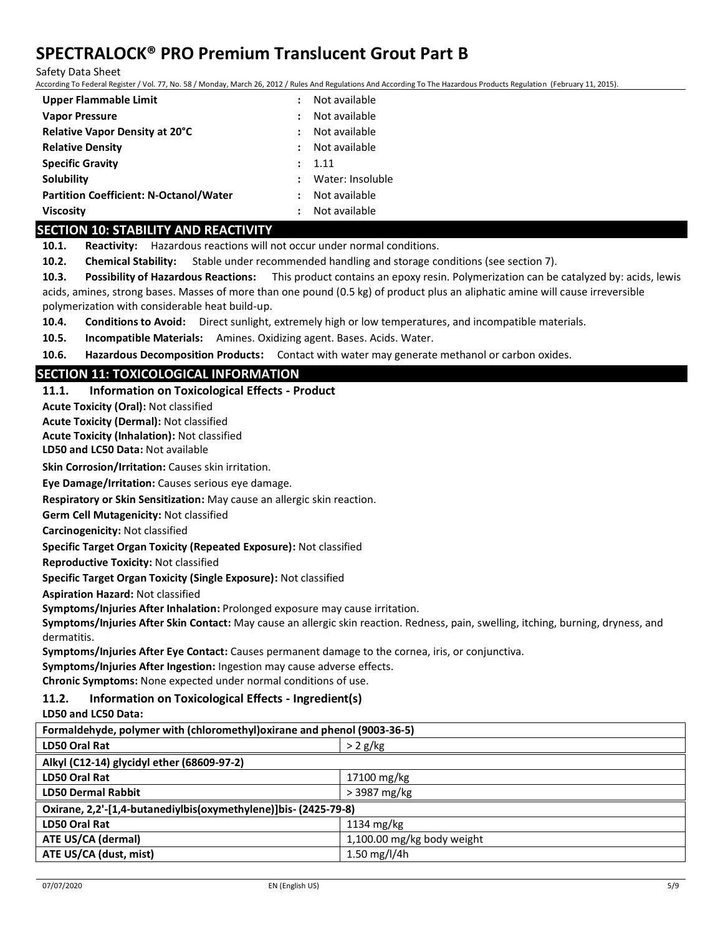Safety Data Sheet

According To Federal Register / Vol. 77, No. 58 / Monday, March 26, 2012 / Rules And Regulations And According To The Hazardous Products Regulation (February 11, 2015).

| Upper Flammable Limit                         | Not available    |
|-----------------------------------------------|------------------|
| <b>Vapor Pressure</b>                         | Not available    |
| Relative Vapor Density at 20°C                | Not available    |
| <b>Relative Density</b>                       | Not available    |
| <b>Specific Gravity</b>                       | 1.11             |
| Solubility                                    | Water: Insoluble |
| <b>Partition Coefficient: N-Octanol/Water</b> | Not available    |
| <b>Viscosity</b>                              | Not available    |

#### **SECTION 10: STABILITY AND REACTIVITY**

**10.1. Reactivity:** Hazardous reactions will not occur under normal conditions.

**10.2. Chemical Stability:** Stable under recommended handling and storage conditions (see section 7).

**10.3. Possibility of Hazardous Reactions:** This product contains an epoxy resin. Polymerization can be catalyzed by: acids, lewis acids, amines, strong bases. Masses of more than one pound (0.5 kg) of product plus an aliphatic amine will cause irreversible polymerization with considerable heat build-up.

**10.4. Conditions to Avoid:** Direct sunlight, extremely high or low temperatures, and incompatible materials.

**10.5. Incompatible Materials:** Amines. Oxidizing agent. Bases. Acids. Water.

**10.6. Hazardous Decomposition Products:** Contact with water may generate methanol or carbon oxides.

# **SECTION 11: TOXICOLOGICAL INFORMATION**

## **11.1. Information on Toxicological Effects - Product**

**Acute Toxicity (Oral):** Not classified

**Acute Toxicity (Dermal):** Not classified

**LD50 and LC50 Data:** Not available **Acute Toxicity (Inhalation):** Not classified

**Skin Corrosion/Irritation:** Causes skin irritation.

**Eye Damage/Irritation:** Causes serious eye damage.

**Respiratory or Skin Sensitization:** May cause an allergic skin reaction.

**Germ Cell Mutagenicity:** Not classified

**Carcinogenicity:** Not classified

**Specific Target Organ Toxicity (Repeated Exposure):** Not classified

**Reproductive Toxicity:** Not classified

**Specific Target Organ Toxicity (Single Exposure):** Not classified

**Aspiration Hazard:** Not classified

**Symptoms/Injuries After Inhalation:** Prolonged exposure may cause irritation.

**Symptoms/Injuries After Skin Contact:** May cause an allergic skin reaction. Redness, pain, swelling, itching, burning, dryness, and dermatitis.

**Symptoms/Injuries After Eye Contact:** Causes permanent damage to the cornea, iris, or conjunctiva.

**Symptoms/Injuries After Ingestion:** Ingestion may cause adverse effects.

**Chronic Symptoms:** None expected under normal conditions of use.

## **11.2. Information on Toxicological Effects - Ingredient(s)**

#### **LD50 and LC50 Data:**

| Formaldehyde, polymer with (chloromethyl) oxirane and phenol (9003-36-5) |  |  |
|--------------------------------------------------------------------------|--|--|
| $> 2$ g/kg                                                               |  |  |
| Alkyl (C12-14) glycidyl ether (68609-97-2)                               |  |  |
| 17100 mg/kg                                                              |  |  |
| > 3987 mg/kg                                                             |  |  |
| Oxirane, 2,2'-[1,4-butanediylbis(oxymethylene)]bis- (2425-79-8)          |  |  |
| $1134 \text{ mg/kg}$                                                     |  |  |
| 1,100.00 mg/kg body weight                                               |  |  |
| ATE US/CA (dust, mist)<br>1.50 mg/l/4h                                   |  |  |
|                                                                          |  |  |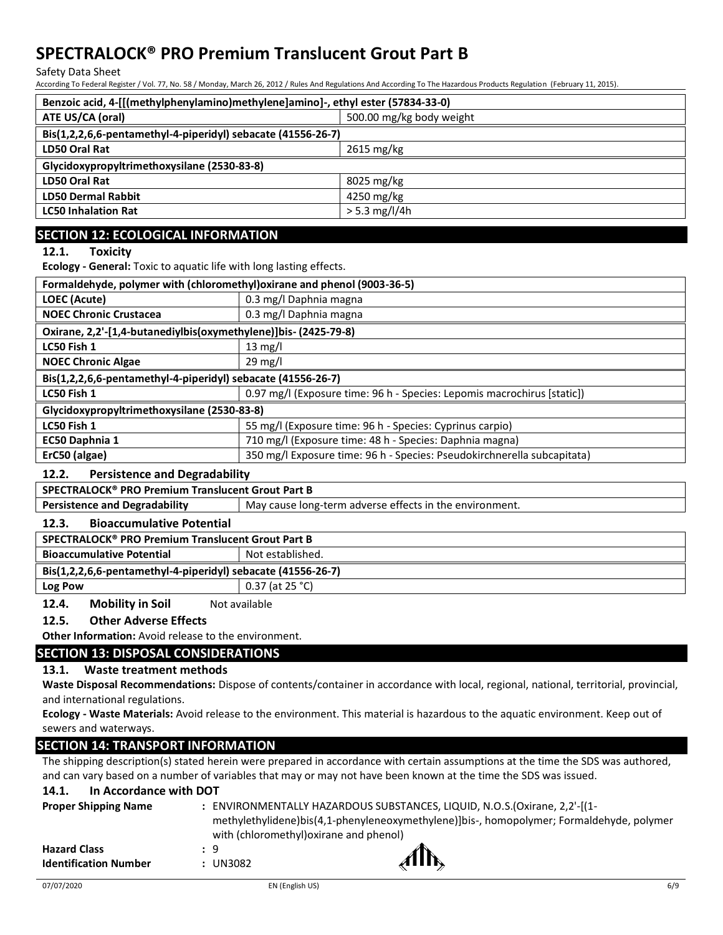Safety Data Sheet

According To Federal Register / Vol. 77, No. 58 / Monday, March 26, 2012 / Rules And Regulations And According To The Hazardous Products Regulation (February 11, 2015).

| Benzoic acid, 4-[[(methylphenylamino)methylene]amino]-, ethyl ester (57834-33-0) |                          |  |
|----------------------------------------------------------------------------------|--------------------------|--|
| ATE US/CA (oral)                                                                 | 500.00 mg/kg body weight |  |
| Bis(1,2,2,6,6-pentamethyl-4-piperidyl) sebacate (41556-26-7)                     |                          |  |
| LD50 Oral Rat<br>$2615 \text{ mg/kg}$                                            |                          |  |
| Glycidoxypropyltrimethoxysilane (2530-83-8)                                      |                          |  |
| <b>LD50 Oral Rat</b>                                                             | 8025 mg/kg               |  |
| <b>LD50 Dermal Rabbit</b>                                                        | 4250 mg/kg               |  |
| <b>LC50 Inhalation Rat</b>                                                       | $> 5.3$ mg/l/4h          |  |

# **SECTION 12: ECOLOGICAL INFORMATION**

**12.1. Toxicity**

**Ecology - General:** Toxic to aquatic life with long lasting effects.

| Formaldehyde, polymer with (chloromethyl) oxirane and phenol (9003-36-5) |                                                                         |  |
|--------------------------------------------------------------------------|-------------------------------------------------------------------------|--|
| LOEC (Acute)                                                             | 0.3 mg/l Daphnia magna                                                  |  |
| <b>NOEC Chronic Crustacea</b>                                            | 0.3 mg/l Daphnia magna                                                  |  |
| Oxirane, 2,2'-[1,4-butanediylbis(oxymethylene)]bis- (2425-79-8)          |                                                                         |  |
| LC50 Fish 1                                                              | $13 \text{ mg/l}$                                                       |  |
| <b>NOEC Chronic Algae</b>                                                | $29 \text{ mg/l}$                                                       |  |
| Bis(1,2,2,6,6-pentamethyl-4-piperidyl) sebacate (41556-26-7)             |                                                                         |  |
| LC50 Fish 1                                                              | 0.97 mg/l (Exposure time: 96 h - Species: Lepomis macrochirus [static]) |  |
| Glycidoxypropyltrimethoxysilane (2530-83-8)                              |                                                                         |  |
| LC50 Fish 1                                                              | 55 mg/l (Exposure time: 96 h - Species: Cyprinus carpio)                |  |
| EC50 Daphnia 1                                                           | 710 mg/l (Exposure time: 48 h - Species: Daphnia magna)                 |  |
| ErC50 (algae)                                                            | 350 mg/l Exposure time: 96 h - Species: Pseudokirchnerella subcapitata) |  |

# **12.2. Persistence and Degradability**

| SPECTRALOCK® PRO Premium Translucent Grout Part B            |                                                         |  |
|--------------------------------------------------------------|---------------------------------------------------------|--|
| <b>Persistence and Degradability</b>                         | May cause long-term adverse effects in the environment. |  |
| <b>Bioaccumulative Potential</b><br>12.3.                    |                                                         |  |
| SPECTRALOCK® PRO Premium Translucent Grout Part B            |                                                         |  |
| <b>Bioaccumulative Potential</b><br>Not established.         |                                                         |  |
| Bis(1,2,2,6,6-pentamethyl-4-piperidyl) sebacate (41556-26-7) |                                                         |  |
| Log Pow                                                      | $0.37$ (at 25 °C)                                       |  |

## **12.4. Mobility in Soil** Not available

## **12.5. Other Adverse Effects**

**Other Information:** Avoid release to the environment.

## **SECTION 13: DISPOSAL CONSIDERATIONS**

## **13.1. Waste treatment methods**

**Waste Disposal Recommendations:** Dispose of contents/container in accordance with local, regional, national, territorial, provincial, and international regulations.

**Ecology - Waste Materials:** Avoid release to the environment. This material is hazardous to the aquatic environment. Keep out of sewers and waterways.

# **SECTION 14: TRANSPORT INFORMATION**

The shipping description(s) stated herein were prepared in accordance with certain assumptions at the time the SDS was authored, and can vary based on a number of variables that may or may not have been known at the time the SDS was issued.

## **14.1. In Accordance with DOT**

| <b>Proper Shipping Name</b>  |                                         | ENVIRONMENTALLY HAZARDOUS SUBSTANCES, LIQUID, N.O.S. (Oxirane, 2,2'-[(1-                 |
|------------------------------|-----------------------------------------|------------------------------------------------------------------------------------------|
|                              |                                         | methylethylidene)bis(4,1-phenyleneoxymethylene)]bis-, homopolymer; Formaldehyde, polymer |
|                              | with (chloromethyl) oxirane and phenol) |                                                                                          |
| <b>Hazard Class</b>          | : 9                                     | $\mathcal{M}$                                                                            |
| <b>Identification Number</b> | : UN3082                                |                                                                                          |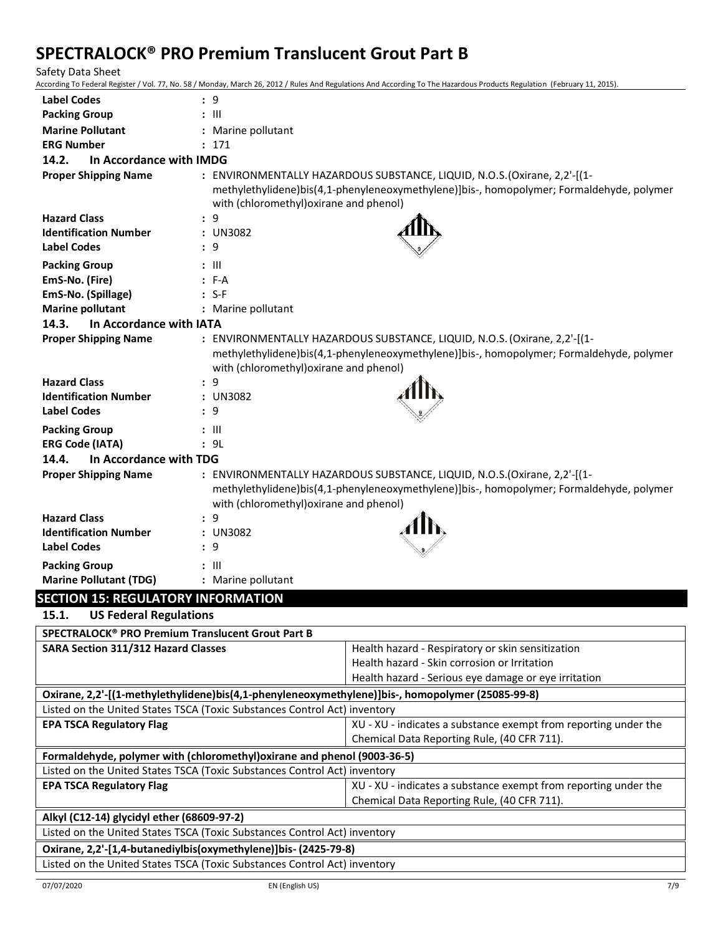Safety Data Sheet

According To Federal Register / Vol. 77, No. 58 / Monday, March 26, 2012 / Rules And Regulations And According To The Hazardous Products Regulation (February 11, 2015).

| <b>Label Codes</b>                                                                                 | : 9                                     |                                                                                                                                                                       |  |
|----------------------------------------------------------------------------------------------------|-----------------------------------------|-----------------------------------------------------------------------------------------------------------------------------------------------------------------------|--|
| <b>Packing Group</b>                                                                               | $:$ $\mathbb{H}$                        |                                                                                                                                                                       |  |
| <b>Marine Pollutant</b>                                                                            | : Marine pollutant                      |                                                                                                                                                                       |  |
| <b>ERG Number</b>                                                                                  | : 171                                   |                                                                                                                                                                       |  |
| 14.2.<br>In Accordance with IMDG                                                                   |                                         |                                                                                                                                                                       |  |
| <b>Proper Shipping Name</b>                                                                        |                                         | : ENVIRONMENTALLY HAZARDOUS SUBSTANCE, LIQUID, N.O.S. (Oxirane, 2,2'-[(1-                                                                                             |  |
|                                                                                                    |                                         | methylethylidene)bis(4,1-phenyleneoxymethylene)]bis-, homopolymer; Formaldehyde, polymer                                                                              |  |
|                                                                                                    | with (chloromethyl) oxirane and phenol) |                                                                                                                                                                       |  |
| <b>Hazard Class</b>                                                                                | : 9                                     |                                                                                                                                                                       |  |
| <b>Identification Number</b>                                                                       | : UN3082                                |                                                                                                                                                                       |  |
| <b>Label Codes</b>                                                                                 | : 9                                     |                                                                                                                                                                       |  |
| <b>Packing Group</b>                                                                               | : III                                   |                                                                                                                                                                       |  |
| EmS-No. (Fire)                                                                                     | $: F-A$                                 |                                                                                                                                                                       |  |
| EmS-No. (Spillage)                                                                                 | $: S-F$                                 |                                                                                                                                                                       |  |
| <b>Marine pollutant</b>                                                                            | : Marine pollutant                      |                                                                                                                                                                       |  |
| 14.3.<br>In Accordance with IATA                                                                   |                                         |                                                                                                                                                                       |  |
| <b>Proper Shipping Name</b>                                                                        |                                         | : ENVIRONMENTALLY HAZARDOUS SUBSTANCE, LIQUID, N.O.S. (Oxirane, 2,2'-[(1-<br>methylethylidene)bis(4,1-phenyleneoxymethylene)]bis-, homopolymer; Formaldehyde, polymer |  |
|                                                                                                    | with (chloromethyl) oxirane and phenol) |                                                                                                                                                                       |  |
| <b>Hazard Class</b>                                                                                | : 9                                     |                                                                                                                                                                       |  |
| <b>Identification Number</b>                                                                       | : UN3082                                |                                                                                                                                                                       |  |
| <b>Label Codes</b>                                                                                 | : 9                                     |                                                                                                                                                                       |  |
| <b>Packing Group</b>                                                                               | : III                                   |                                                                                                                                                                       |  |
| <b>ERG Code (IATA)</b>                                                                             | : 9L                                    |                                                                                                                                                                       |  |
| 14.4.<br>In Accordance with TDG                                                                    |                                         |                                                                                                                                                                       |  |
| <b>Proper Shipping Name</b>                                                                        |                                         | : ENVIRONMENTALLY HAZARDOUS SUBSTANCE, LIQUID, N.O.S. (Oxirane, 2,2'-[(1-                                                                                             |  |
|                                                                                                    |                                         | methylethylidene)bis(4,1-phenyleneoxymethylene)]bis-, homopolymer; Formaldehyde, polymer                                                                              |  |
|                                                                                                    | with (chloromethyl) oxirane and phenol) |                                                                                                                                                                       |  |
| <b>Hazard Class</b>                                                                                | : 9                                     |                                                                                                                                                                       |  |
| <b>Identification Number</b>                                                                       | : UN3082                                |                                                                                                                                                                       |  |
| <b>Label Codes</b>                                                                                 | : 9                                     |                                                                                                                                                                       |  |
| <b>Packing Group</b>                                                                               | : III                                   |                                                                                                                                                                       |  |
| <b>Marine Pollutant (TDG)</b>                                                                      | : Marine pollutant                      |                                                                                                                                                                       |  |
| <b>SECTION 15: REGULATORY INFORMATION</b>                                                          |                                         |                                                                                                                                                                       |  |
| <b>US Federal Regulations</b><br>15.1.                                                             |                                         |                                                                                                                                                                       |  |
| SPECTRALOCK® PRO Premium Translucent Grout Part B                                                  |                                         |                                                                                                                                                                       |  |
| <b>SARA Section 311/312 Hazard Classes</b>                                                         |                                         | Health hazard - Respiratory or skin sensitization                                                                                                                     |  |
|                                                                                                    |                                         | Health hazard - Skin corrosion or Irritation                                                                                                                          |  |
|                                                                                                    |                                         | Health hazard - Serious eye damage or eye irritation                                                                                                                  |  |
| Oxirane, 2,2'-[(1-methylethylidene)bis(4,1-phenyleneoxymethylene)]bis-, homopolymer (25085-99-8)   |                                         |                                                                                                                                                                       |  |
| Listed on the United States TSCA (Toxic Substances Control Act) inventory                          |                                         |                                                                                                                                                                       |  |
| <b>EPA TSCA Regulatory Flag</b>                                                                    |                                         | XU - XU - indicates a substance exempt from reporting under the                                                                                                       |  |
|                                                                                                    |                                         | Chemical Data Reporting Rule, (40 CFR 711).                                                                                                                           |  |
| Formaldehyde, polymer with (chloromethyl) oxirane and phenol (9003-36-5)                           |                                         |                                                                                                                                                                       |  |
| Listed on the United States TSCA (Toxic Substances Control Act) inventory                          |                                         |                                                                                                                                                                       |  |
| XU - XU - indicates a substance exempt from reporting under the<br><b>EPA TSCA Regulatory Flag</b> |                                         |                                                                                                                                                                       |  |
| Chemical Data Reporting Rule, (40 CFR 711).                                                        |                                         |                                                                                                                                                                       |  |
| Alkyl (C12-14) glycidyl ether (68609-97-2)                                                         |                                         |                                                                                                                                                                       |  |
| Listed on the United States TSCA (Toxic Substances Control Act) inventory                          |                                         |                                                                                                                                                                       |  |
| Oxirane, 2,2'-[1,4-butanediylbis(oxymethylene)]bis- (2425-79-8)                                    |                                         |                                                                                                                                                                       |  |
| Listed on the United States TSCA (Toxic Substances Control Act) inventory                          |                                         |                                                                                                                                                                       |  |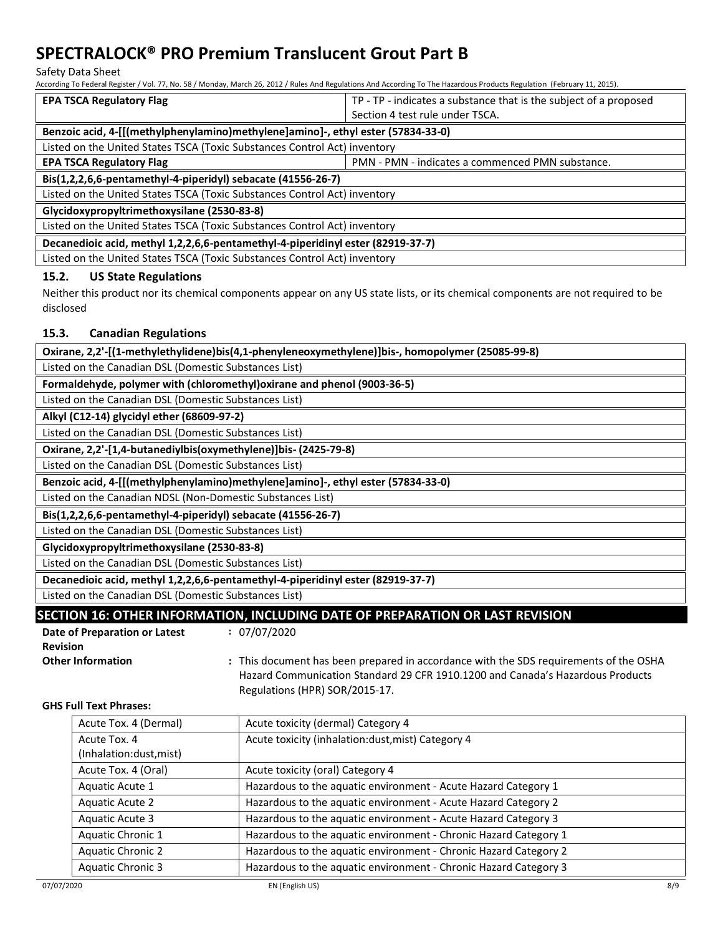Safety Data Sheet

According To Federal Register / Vol. 77, No. 58 / Monday, March 26, 2012 / Rules And Regulations And According To The Hazardous Products Regulation (February 11, 2015).

| <b>EPA TSCA Regulatory Flag</b>                                                     | TP - TP - indicates a substance that is the subject of a proposed |  |
|-------------------------------------------------------------------------------------|-------------------------------------------------------------------|--|
|                                                                                     | Section 4 test rule under TSCA.                                   |  |
| Benzoic acid, 4-[[(methylphenylamino)methylene]amino]-, ethyl ester (57834-33-0)    |                                                                   |  |
| Listed on the United States TSCA (Toxic Substances Control Act) inventory           |                                                                   |  |
| <b>EPA TSCA Regulatory Flag</b><br>PMN - PMN - indicates a commenced PMN substance. |                                                                   |  |
| Bis(1,2,2,6,6-pentamethyl-4-piperidyl) sebacate (41556-26-7)                        |                                                                   |  |
| Listed on the United States TSCA (Toxic Substances Control Act) inventory           |                                                                   |  |
| Glycidoxypropyltrimethoxysilane (2530-83-8)                                         |                                                                   |  |
| Listed on the United States TSCA (Toxic Substances Control Act) inventory           |                                                                   |  |
| Decanedioic acid, methyl 1,2,2,6,6-pentamethyl-4-piperidinyl ester (82919-37-7)     |                                                                   |  |
| Listed on the United States TSCA (Toxic Substances Control Act) inventory           |                                                                   |  |

## **15.2. US State Regulations**

Neither this product nor its chemical components appear on any US state lists, or its chemical components are not required to be disclosed

## **15.3. Canadian Regulations**

| Oxirane, 2,2'-[(1-methylethylidene)bis(4,1-phenyleneoxymethylene)]bis-, homopolymer (25085-99-8) |
|--------------------------------------------------------------------------------------------------|
| Listed on the Canadian DSL (Domestic Substances List)                                            |
| Formaldehyde, polymer with (chloromethyl) oxirane and phenol (9003-36-5)                         |
| Listed on the Canadian DSL (Domestic Substances List)                                            |
| Alkyl (C12-14) glycidyl ether (68609-97-2)                                                       |
| Listed on the Canadian DSL (Domestic Substances List)                                            |
| Oxirane, 2,2'-[1,4-butanediylbis(oxymethylene)]bis- (2425-79-8)                                  |
| Listed on the Canadian DSL (Domestic Substances List)                                            |
| Benzoic acid, 4-[[(methylphenylamino)methylene]amino]-, ethyl ester (57834-33-0)                 |
| Listed on the Canadian NDSL (Non-Domestic Substances List)                                       |
| Bis(1,2,2,6,6-pentamethyl-4-piperidyl) sebacate (41556-26-7)                                     |
| Listed on the Canadian DSL (Domestic Substances List)                                            |
| Glycidoxypropyltrimethoxysilane (2530-83-8)                                                      |
| Listed on the Canadian DSL (Domestic Substances List)                                            |
| Decanedioic acid, methyl 1,2,2,6,6-pentamethyl-4-piperidinyl ester (82919-37-7)                  |
| Listed on the Canadian DSL (Domestic Substances List)                                            |
| CECTION 16. OTHER INFORMATION INCHIDING DATE OF RREDARATION OR LACT REVICION                     |

# **SECTION 16: OTHER INFORMATION, INCLUDING DATE OF PREPARATION OR LAST REVISION**

| Date of Preparation or Latest | : 07/07/2020    |
|-------------------------------|-----------------|
| <b>Revision</b>               |                 |
| <b>Other Information</b>      | $:$ This docume |
|                               | Hazard Com      |

his document has been prepared in accordance with the SDS requirements of the OSHA Hazard Communication Standard 29 CFR 1910.1200 and Canada's Hazardous Products Regulations (HPR) SOR/2015-17.

## **GHS Full Text Phrases:**

| Acute Tox. 4 (Dermal)    | Acute toxicity (dermal) Category 4                               |
|--------------------------|------------------------------------------------------------------|
| Acute Tox. 4             | Acute toxicity (inhalation:dust, mist) Category 4                |
| (Inhalation:dust, mist)  |                                                                  |
| Acute Tox. 4 (Oral)      | Acute toxicity (oral) Category 4                                 |
| Aquatic Acute 1          | Hazardous to the aquatic environment - Acute Hazard Category 1   |
| <b>Aquatic Acute 2</b>   | Hazardous to the aquatic environment - Acute Hazard Category 2   |
| Aquatic Acute 3          | Hazardous to the aquatic environment - Acute Hazard Category 3   |
| Aquatic Chronic 1        | Hazardous to the aquatic environment - Chronic Hazard Category 1 |
| Aquatic Chronic 2        | Hazardous to the aquatic environment - Chronic Hazard Category 2 |
| <b>Aquatic Chronic 3</b> | Hazardous to the aquatic environment - Chronic Hazard Category 3 |